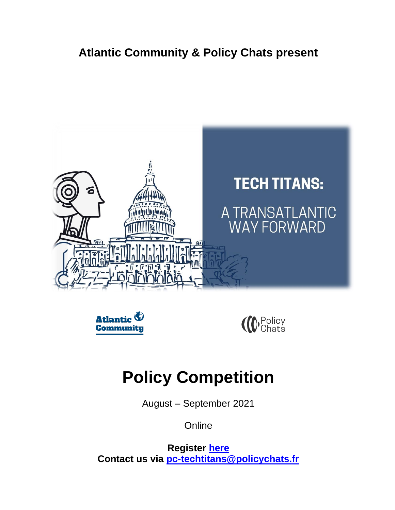### **Atlantic Community & Policy Chats present**







# **Policy Competition**

August – September 2021

**Online** 

**Register [here](https://docs.google.com/forms/d/e/1FAIpQLSeolaMFDST653WTGWhJj5gEqRSTBFYYVEe7CSzossIiwAZBZw/viewform) Contact us via [pc-techtitans@policychats.fr](mailto:pc-techtitans@policychats.fr)**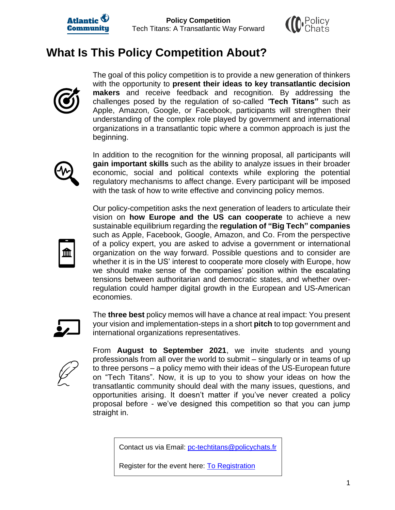



### **What Is This Policy Competition About?**



The goal of this policy competition is to provide a new generation of thinkers with the opportunity to **present their ideas to key transatlantic decision makers** and receive feedback and recognition. By addressing the challenges posed by the regulation of so-called *"***Tech Titans"** such as Apple, Amazon, Google, or Facebook, participants will strengthen their understanding of the complex role played by government and international organizations in a transatlantic topic where a common approach is just the beginning.



In addition to the recognition for the winning proposal, all participants will **gain important skills** such as the ability to analyze issues in their broader economic, social and political contexts while exploring the potential regulatory mechanisms to affect change. Every participant will be imposed with the task of how to write effective and convincing policy memos.



Our policy-competition asks the next generation of leaders to articulate their vision on **how Europe and the US can cooperate** to achieve a new sustainable equilibrium regarding the **regulation of "Big Tech" companies** such as Apple, Facebook, Google, Amazon, and Co. From the perspective of a policy expert, you are asked to advise a government or international organization on the way forward. Possible questions and to consider are whether it is in the US' interest to cooperate more closely with Europe, how we should make sense of the companies' position within the escalating tensions between authoritarian and democratic states, and whether overregulation could hamper digital growth in the European and US-American economies.



The **three best** policy memos will have a chance at real impact: You present your vision and implementation-steps in a short **pitch** to top government and international organizations representatives.



From **August to September 2021**, we invite students and young professionals from all over the world to submit – singularly or in teams of up to three persons – a policy memo with their ideas of the US-European future on "Tech Titans". Now, it is up to you to show your ideas on how the transatlantic community should deal with the many issues, questions, and opportunities arising. It doesn't matter if you've never created a policy proposal before - we've designed this competition so that you can jump straight in.

Contact us via Email: [pc-techtitans@policychats.fr](mailto:pc-techtitans@policychats.fr)

Register for the event here: **To Registration**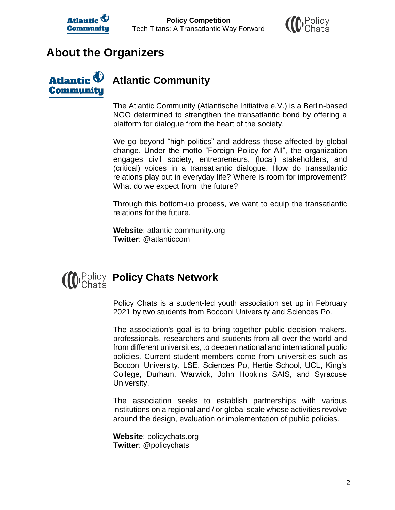



#### **About the Organizers**

**Communitu** 

## **Atlantic Community**

The Atlantic Community (Atlantische Initiative e.V.) is a Berlin-based NGO determined to strengthen the transatlantic bond by offering a platform for dialogue from the heart of the society.

We go beyond "high politics" and address those affected by global change. Under the motto "Foreign Policy for All", the organization engages civil society, entrepreneurs, (local) stakeholders, and (critical) voices in a transatlantic dialogue. How do transatlantic relations play out in everyday life? Where is room for improvement? What do we expect from the future?

Through this bottom-up process, we want to equip the transatlantic relations for the future.

**Website**: atlantic-community.org **Twitter**: @atlanticcom

# **D** Policy **Policy Chats Network**

Policy Chats is a student-led youth association set up in February 2021 by two students from Bocconi University and Sciences Po.

The association's goal is to bring together public decision makers, professionals, researchers and students from all over the world and from different universities, to deepen national and international public policies. Current student-members come from universities such as Bocconi University, LSE, Sciences Po, Hertie School, UCL, King's College, Durham, Warwick, John Hopkins SAIS, and Syracuse University.

The association seeks to establish partnerships with various institutions on a regional and / or global scale whose activities revolve around the design, evaluation or implementation of public policies.

**Website**: policychats.org **Twitter**: @policychats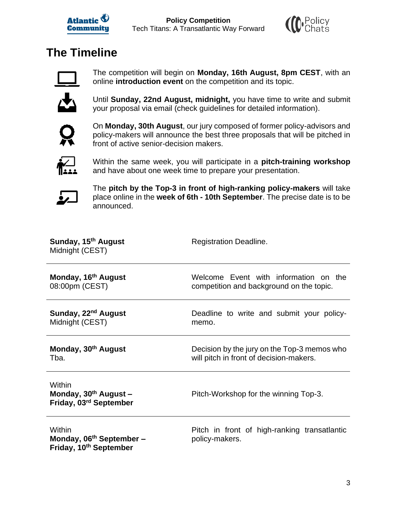



# **The Timeline**



The competition will begin on **Monday, 16th August, 8pm CEST**, with an online **introduction event** on the competition and its topic.



Until **Sunday, 22nd August, midnight,** you have time to write and submit your proposal via email (check guidelines for detailed information).



On **Monday, 30th August**, our jury composed of former policy-advisors and policy-makers will announce the best three proposals that will be pitched in front of active senior-decision makers.



Within the same week, you will participate in a **pitch-training workshop** and have about one week time to prepare your presentation.



The **pitch by the Top-3 in front of high-ranking policy-makers** will take place online in the **week of 6th - 10th September**. The precise date is to be announced.

| Sunday, 15 <sup>th</sup> August<br>Midnight (CEST)                                   | <b>Registration Deadline.</b>                                  |  |  |  |
|--------------------------------------------------------------------------------------|----------------------------------------------------------------|--|--|--|
| Monday, 16 <sup>th</sup> August                                                      | Welcome Event with information on the                          |  |  |  |
| 08:00pm (CEST)                                                                       | competition and background on the topic.                       |  |  |  |
| Sunday, 22 <sup>nd</sup> August                                                      | Deadline to write and submit your policy-                      |  |  |  |
| Midnight (CEST)                                                                      | memo.                                                          |  |  |  |
| Monday, 30 <sup>th</sup> August                                                      | Decision by the jury on the Top-3 memos who                    |  |  |  |
| Tba.                                                                                 | will pitch in front of decision-makers.                        |  |  |  |
| Within<br>Monday, $30^{th}$ August -<br>Friday, 03rd September                       | Pitch-Workshop for the winning Top-3.                          |  |  |  |
| Within<br>Monday, 06 <sup>th</sup> September -<br>Friday, 10 <sup>th</sup> September | Pitch in front of high-ranking transatlantic<br>policy-makers. |  |  |  |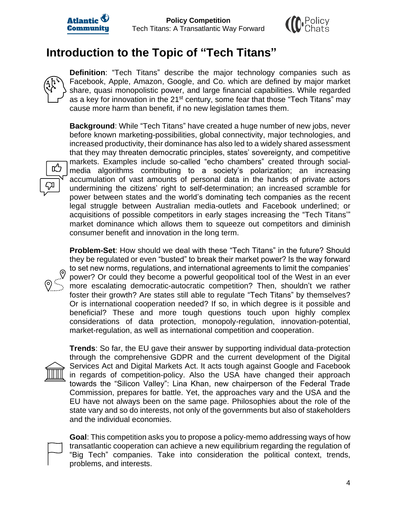



#### **Introduction to the Topic of "Tech Titans"**

**Definition**: "Tech Titans" describe the major technology companies such as Facebook, Apple, Amazon, Google, and Co. which are defined by major market share, quasi monopolistic power, and large financial capabilities. While regarded as a key for innovation in the 21<sup>st</sup> century, some fear that those "Tech Titans" may cause more harm than benefit, if no new legislation tames them.

**Background**: While "Tech Titans" have created a huge number of new jobs, never before known marketing-possibilities, global connectivity, major technologies, and increased productivity, their dominance has also led to a widely shared assessment that they may threaten democratic principles, states' sovereignty, and competitive markets. Examples include so-called "echo chambers" created through socialmedia algorithms contributing to a society's polarization; an increasing accumulation of vast amounts of personal data in the hands of private actors undermining the citizens' right to self-determination; an increased scramble for power between states and the world's dominating tech companies as the recent legal struggle between Australian media-outlets and Facebook underlined; or acquisitions of possible competitors in early stages increasing the "Tech Titans'" market dominance which allows them to squeeze out competitors and diminish consumer benefit and innovation in the long term.

**Problem-Set**: How should we deal with these "Tech Titans" in the future? Should they be regulated or even "busted" to break their market power? Is the way forward to set new norms, regulations, and international agreements to limit the companies' power? Or could they become a powerful geopolitical tool of the West in an ever more escalating democratic-autocratic competition? Then, shouldn't we rather foster their growth? Are states still able to regulate "Tech Titans" by themselves? Or is international cooperation needed? If so, in which degree is it possible and beneficial? These and more tough questions touch upon highly complex considerations of data protection, monopoly-regulation, innovation-potential, market-regulation, as well as international competition and cooperation.



旳

**Trends**: So far, the EU gave their answer by supporting individual data-protection through the comprehensive GDPR and the current development of the Digital Services Act and Digital Markets Act. It acts tough against Google and Facebook in regards of competition-policy. Also the USA have changed their approach towards the "Silicon Valley": Lina Khan, new chairperson of the Federal Trade Commission, prepares for battle. Yet, the approaches vary and the USA and the EU have not always been on the same page. Philosophies about the role of the state vary and so do interests, not only of the governments but also of stakeholders and the individual economies.

**Goal**: This competition asks you to propose a policy-memo addressing ways of how transatlantic cooperation can achieve a new equilibrium regarding the regulation of "Big Tech" companies. Take into consideration the political context, trends, problems, and interests.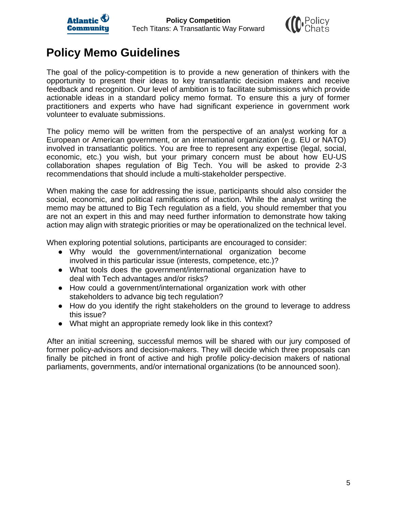



#### **Policy Memo Guidelines**

The goal of the policy-competition is to provide a new generation of thinkers with the opportunity to present their ideas to key transatlantic decision makers and receive feedback and recognition. Our level of ambition is to facilitate submissions which provide actionable ideas in a standard policy memo format. To ensure this a jury of former practitioners and experts who have had significant experience in government work volunteer to evaluate submissions.

The policy memo will be written from the perspective of an analyst working for a European or American government, or an international organization (e.g. EU or NATO) involved in transatlantic politics. You are free to represent any expertise (legal, social, economic, etc.) you wish, but your primary concern must be about how EU-US collaboration shapes regulation of Big Tech. You will be asked to provide 2-3 recommendations that should include a multi-stakeholder perspective.

When making the case for addressing the issue, participants should also consider the social, economic, and political ramifications of inaction. While the analyst writing the memo may be attuned to Big Tech regulation as a field, you should remember that you are not an expert in this and may need further information to demonstrate how taking action may align with strategic priorities or may be operationalized on the technical level.

When exploring potential solutions, participants are encouraged to consider:

- Why would the government/international organization become involved in this particular issue (interests, competence, etc.)?
- What tools does the government/international organization have to deal with Tech advantages and/or risks?
- How could a government/international organization work with other stakeholders to advance big tech regulation?
- How do you identify the right stakeholders on the ground to leverage to address this issue?
- What might an appropriate remedy look like in this context?

After an initial screening, successful memos will be shared with our jury composed of former policy-advisors and decision-makers. They will decide which three proposals can finally be pitched in front of active and high profile policy-decision makers of national parliaments, governments, and/or international organizations (to be announced soon).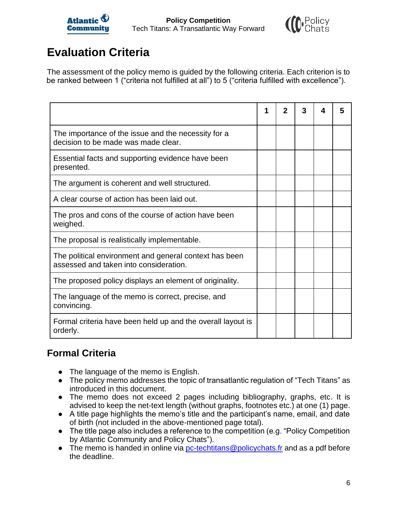



# **Evaluation Criteria**

The assessment of the policy memo is guided by the following criteria. Each criterion is to be ranked between 1 ("criteria not fulfilled at all") to 5 ("criteria fulfilled with excellence").

|                                                                                                  | 1 | 2 | 3 | 4 | 5 |
|--------------------------------------------------------------------------------------------------|---|---|---|---|---|
| The importance of the issue and the necessity for a<br>decision to be made was made clear.       |   |   |   |   |   |
| Essential facts and supporting evidence have been<br>presented.                                  |   |   |   |   |   |
| The argument is coherent and well structured.                                                    |   |   |   |   |   |
| A clear course of action has been laid out.                                                      |   |   |   |   |   |
| The pros and cons of the course of action have been<br>weighed.                                  |   |   |   |   |   |
| The proposal is realistically implementable.                                                     |   |   |   |   |   |
| The political environment and general context has been<br>assessed and taken into consideration. |   |   |   |   |   |
| The proposed policy displays an element of originality.                                          |   |   |   |   |   |
| The language of the memo is correct, precise, and<br>convincing.                                 |   |   |   |   |   |
| Formal criteria have been held up and the overall layout is<br>orderly.                          |   |   |   |   |   |

#### **Formal Criteria**

- The language of the memo is English.
- The policy memo addresses the topic of transatlantic regulation of "Tech Titans" as introduced in this document.
- The memo does not exceed 2 pages including bibliography, graphs, etc. It is advised to keep the net-text length (without graphs, footnotes etc.) at one (1) page.
- A title page highlights the memo's title and the participant's name, email, and date of birth (not included in the above-mentioned page total).
- The title page also includes a reference to the competition (e.g. "Policy Competition by Atlantic Community and Policy Chats").
- The memo is handed in online via [pc-techtitans@policychats.fr](mailto:pc-techtitans@policychats.fr) and as a pdf before the deadline.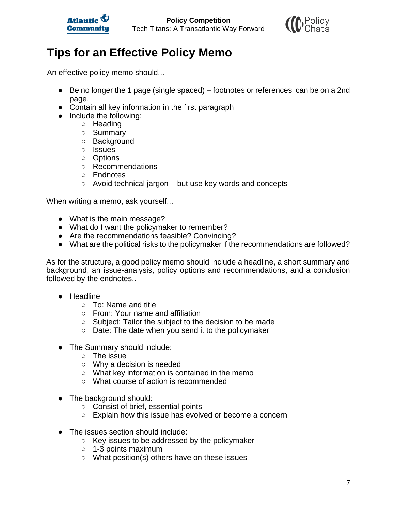



## **Tips for an Effective Policy Memo**

An effective policy memo should...

- Be no longer the 1 page (single spaced) footnotes or references can be on a 2nd page.
- Contain all key information in the first paragraph
- Include the following:
	- Heading
	- Summary
	- Background
	- Issues
	- Options
	- Recommendations
	- Endnotes
	- $\circ$  Avoid technical jargon but use key words and concepts

When writing a memo, ask yourself...

- What is the main message?
- What do I want the policymaker to remember?
- Are the recommendations feasible? Convincing?
- What are the political risks to the policymaker if the recommendations are followed?

As for the structure, a good policy memo should include a headline, a short summary and background, an issue-analysis, policy options and recommendations, and a conclusion followed by the endnotes..

- Headline
	- To: Name and title
	- From: Your name and affiliation
	- Subject: Tailor the subject to the decision to be made
	- Date: The date when you send it to the policymaker
- The Summary should include:
	- $\circ$  The issue
	- Why a decision is needed
	- What key information is contained in the memo
	- What course of action is recommended
- The background should:
	- Consist of brief, essential points
	- Explain how this issue has evolved or become a concern
- The issues section should include:
	- Key issues to be addressed by the policymaker
	- 1-3 points maximum
	- What position(s) others have on these issues